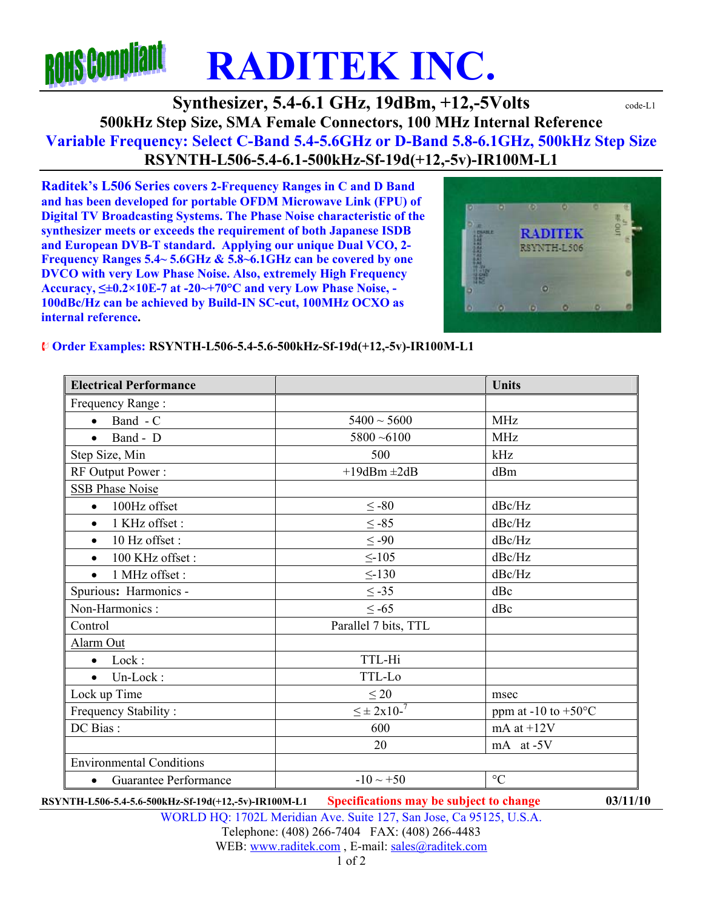# **ROHS COMP RADITEK INC.**

## **Synthesizer, 5.4-6.1 GHz, 19dBm, +12,-5Volts**  $\text{code-L1}$ **500kHz Step Size, SMA Female Connectors, 100 MHz Internal Reference Variable Frequency: Select C-Band 5.4-5.6GHz or D-Band 5.8-6.1GHz, 500kHz Step Size RSYNTH-L506-5.4-6.1-500kHz-Sf-19d(+12,-5v)-IR100M-L1**

**Raditek's L506 Series covers 2-Frequency Ranges in C and D Band and has been developed for portable OFDM Microwave Link (FPU) of Digital TV Broadcasting Systems. The Phase Noise characteristic of the synthesizer meets or exceeds the requirement of both Japanese ISDB and European DVB-T standard. Applying our unique Dual VCO, 2- Frequency Ranges 5.4~ 5.6GHz & 5.8~6.1GHz can be covered by one DVCO with very Low Phase Noise. Also, extremely High Frequency Accuracy, ≤±0.2×10E-7 at -20~+70°C and very Low Phase Noise, - 100dBc/Hz can be achieved by Build-IN SC-cut, 100MHz OCXO as internal reference.** 



#### **Order Examples: RSYNTH-L506-5.4-5.6-500kHz-Sf-19d(+12,-5v)-IR100M-L1**

| <b>Electrical Performance</b>      |                      | <b>Units</b>                  |
|------------------------------------|----------------------|-------------------------------|
| Frequency Range:                   |                      |                               |
| Band - C<br>$\bullet$              | $5400 \sim 5600$     | <b>MHz</b>                    |
| Band - D<br>$\bullet$              | $5800 - 6100$        | <b>MHz</b>                    |
| Step Size, Min                     | 500                  | kHz                           |
| RF Output Power:                   | $+19$ dBm $\pm 2$ dB | dBm                           |
| <b>SSB Phase Noise</b>             |                      |                               |
| 100Hz offset<br>$\bullet$          | $\leq$ -80           | dBc/Hz                        |
| 1 KHz offset:<br>$\bullet$         | $\leq -85$           | dBc/Hz                        |
| 10 Hz offset:<br>$\bullet$         | $\leq -90$           | dBc/Hz                        |
| 100 KHz offset:<br>$\bullet$       | $\leq$ -105          | dBc/Hz                        |
| 1 MHz offset :<br>$\bullet$        | $\leq$ -130          | dBc/Hz                        |
| Spurious: Harmonics -              | $\leq$ -35           | dBc                           |
| Non-Harmonics:                     | $\leq -65$           | dBc                           |
| Control                            | Parallel 7 bits, TTL |                               |
| Alarm Out                          |                      |                               |
| $\bullet$ Lock:                    | TTL-Hi               |                               |
| Un-Lock:<br>$\bullet$              | TTL-Lo               |                               |
| Lock up Time                       | $\leq 20$            | msec                          |
| Frequency Stability:               | $\leq \pm 2x10^{-7}$ | ppm at -10 to $+50^{\circ}$ C |
| DC Bias:                           | 600                  | mA at $+12V$                  |
|                                    | 20                   | mA at -5V                     |
| <b>Environmental Conditions</b>    |                      |                               |
| Guarantee Performance<br>$\bullet$ | $-10 \sim +50$       | $\rm ^{\circ}C$               |

**RSYNTH-L506-5.4-5.6-500kHz-Sf-19d(+12,-5v)-IR100M-L1 Specifications may be subject to change 03/11/10**

WORLD HQ: 1702L Meridian Ave. Suite 127, San Jose, Ca 95125, U.S.A.

#### Telephone: (408) 266-7404 FAX: (408) 266-4483 WEB: www.raditek.com, E-mail: sales@raditek.com